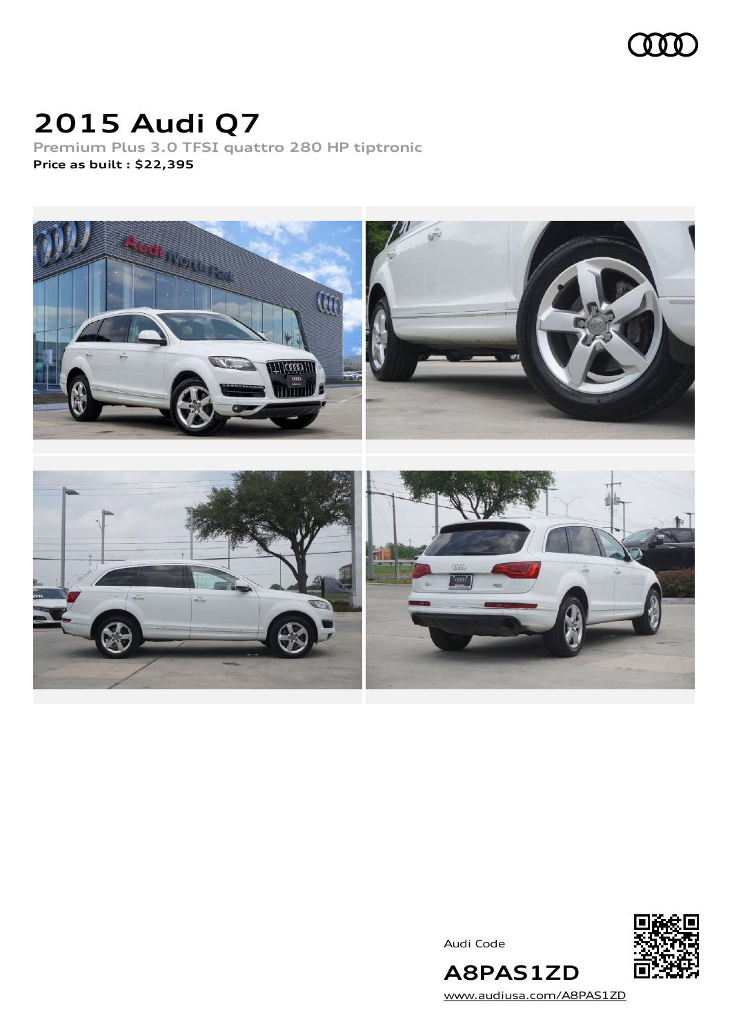

## **2015 Audi Q7**

**Premium Plus 3.0 TFSI quattro 280 HP tiptronic Price as built [:](#page-10-0) \$22,395**



Audi Code



**A8PAS1ZD** [www.audiusa.com/A8PAS1ZD](https://www.audiusa.com/A8PAS1ZD)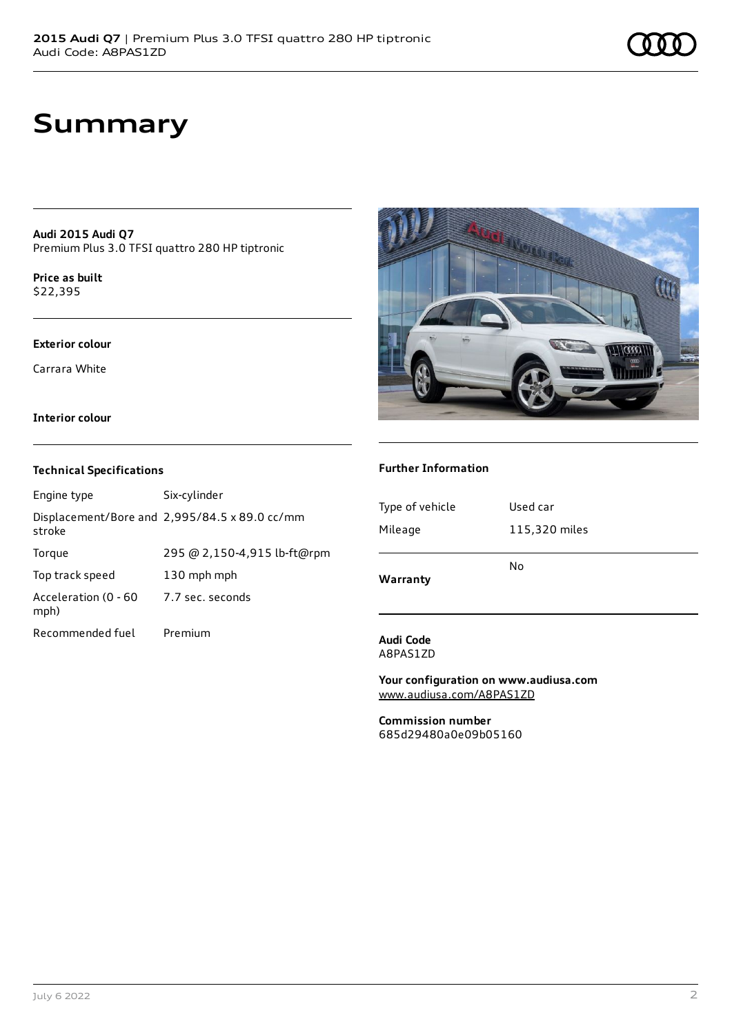## **Summary**

**Audi 2015 Audi Q7** Premium Plus 3.0 TFSI quattro 280 HP tiptronic

**Price as buil[t](#page-10-0)** \$22,395

### **Exterior colour**

Carrara White

### **Interior colour**

### **Technical Specifications**

| Engine type                  | Six-cylinder                                  |
|------------------------------|-----------------------------------------------|
| stroke                       | Displacement/Bore and 2,995/84.5 x 89.0 cc/mm |
| Torque                       | 295 @ 2,150-4,915 lb-ft@rpm                   |
| Top track speed              | 130 mph mph                                   |
| Acceleration (0 - 60<br>mph) | 7.7 sec. seconds                              |
| Recommended fuel             | Premium                                       |



### **Further Information**

| Type of vehicle | Used car      |
|-----------------|---------------|
| Mileage         | 115,320 miles |
| Warranty        | No            |

### **Audi Code** A8PAS1ZD

**Your configuration on www.audiusa.com** [www.audiusa.com/A8PAS1ZD](https://www.audiusa.com/A8PAS1ZD)

**Commission number** 685d29480a0e09b05160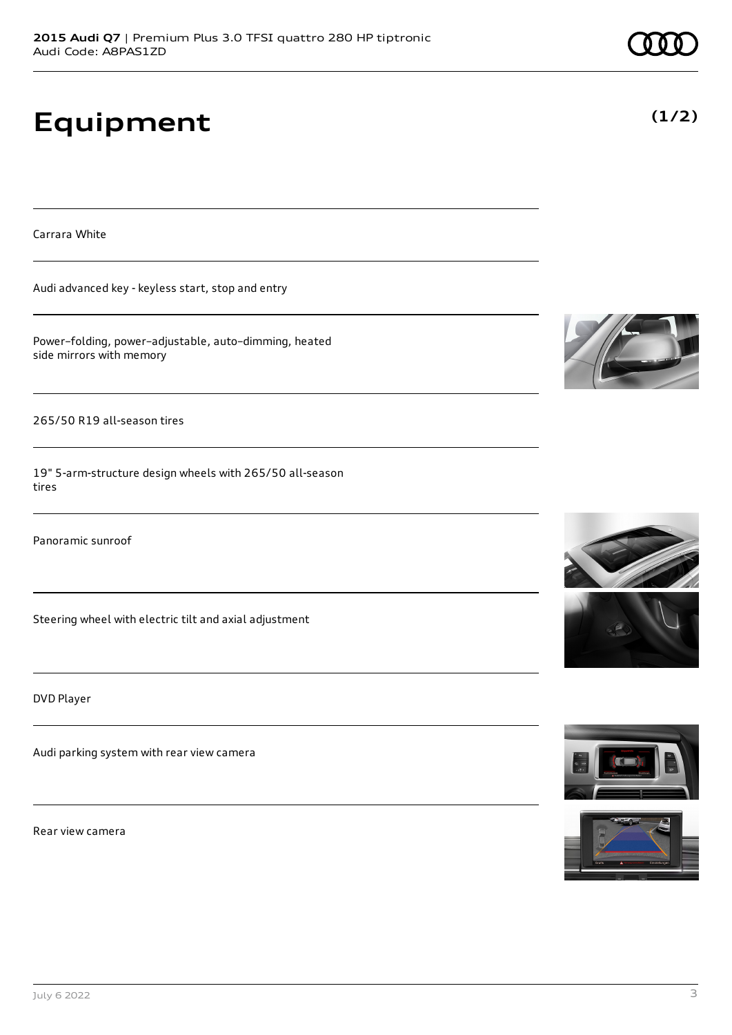# **Equipment**

Carrara White

Audi advanced key - keyless start, stop and entry

Power–folding, power–adjustable, auto–dimming, heated side mirrors with memory

265/50 R19 all-season tires

19" 5-arm-structure design wheels with 265/50 all-season tires

Panoramic sunroof

Steering wheel with electric tilt and axial adjustment

DVD Player

Audi parking system with rear view camera

Rear view camera











**(1/2)**



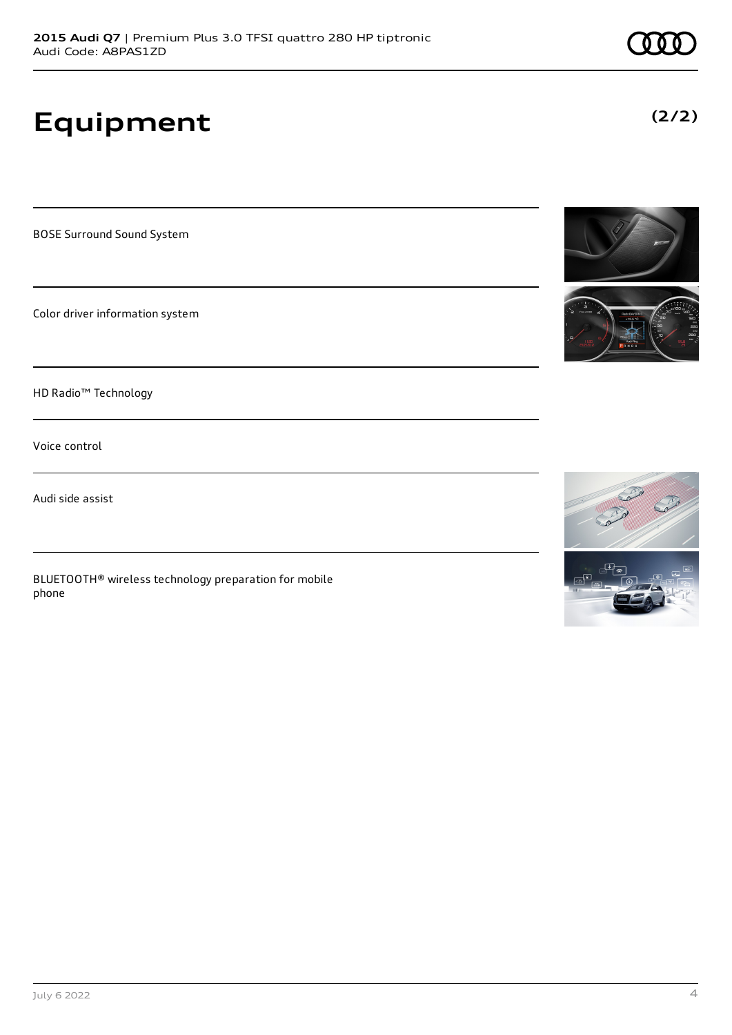# **Equipment**

BOSE Surround Sound System

Color driver information system

HD Radio™ Technology

Voice control

Audi side assist

BLUETOOTH® wireless technology preparation for mobile phone



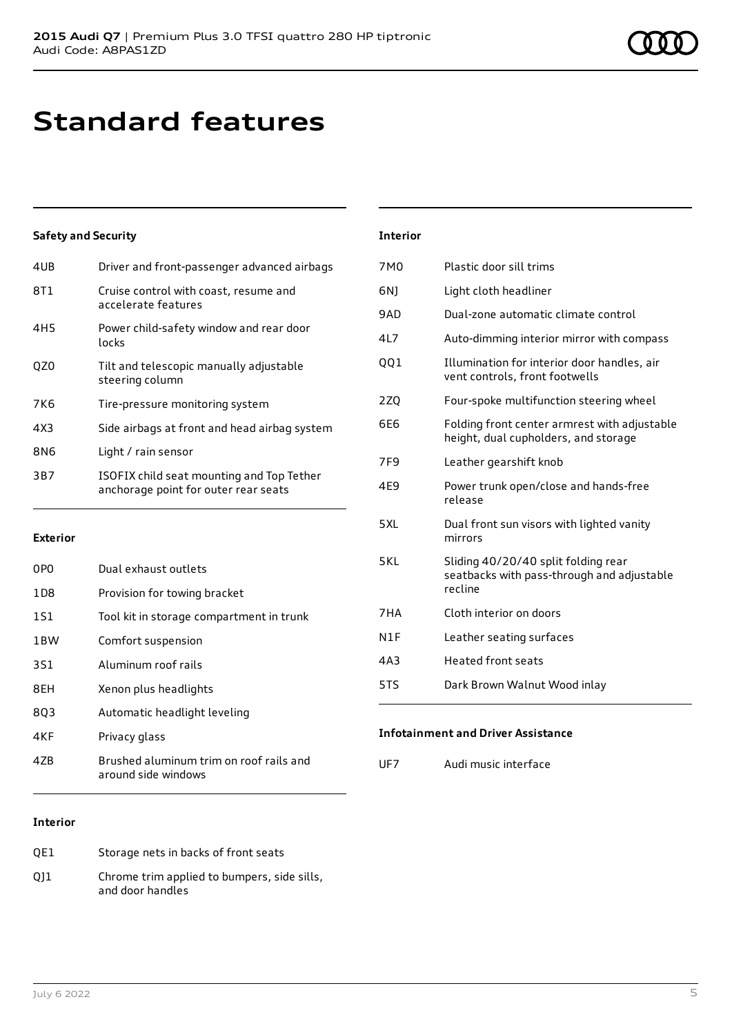## **Standard features**

## **Safety and Security**

| 4UB             | Driver and front-passenger advanced airbags                                       |
|-----------------|-----------------------------------------------------------------------------------|
| 8T1             | Cruise control with coast, resume and<br>accelerate features                      |
| 4H <sub>5</sub> | Power child-safety window and rear door<br>locks                                  |
| OZ0             | Tilt and telescopic manually adjustable<br>steering column                        |
| 7K6             | Tire-pressure monitoring system                                                   |
| 4X3             | Side airbags at front and head airbag system                                      |
| 8N <sub>6</sub> | Light / rain sensor                                                               |
| 3B7             | ISOFIX child seat mounting and Top Tether<br>anchorage point for outer rear seats |
|                 |                                                                                   |

### **Exterior**

| 0PO             | Dual exhaust outlets                                           |
|-----------------|----------------------------------------------------------------|
| 1D8             | Provision for towing bracket                                   |
| 1S1             | Tool kit in storage compartment in trunk                       |
| 1 <sub>BW</sub> | Comfort suspension                                             |
| 3S1             | Aluminum roof rails                                            |
| 8EH             | Xenon plus headlights                                          |
| 803             | Automatic headlight leveling                                   |
| 4KF             | Privacy glass                                                  |
| 47B             | Brushed aluminum trim on roof rails and<br>around side windows |

### **Interior**

| OE1 | Storage nets in backs of front seats                            |
|-----|-----------------------------------------------------------------|
| 011 | Chrome trim applied to bumpers, side sills,<br>and door handles |

### **Interior**

| 7M <sub>0</sub> | Plastic door sill trims                                                                      |
|-----------------|----------------------------------------------------------------------------------------------|
| 6N1             | Light cloth headliner                                                                        |
| 9AD             | Dual-zone automatic climate control                                                          |
| 4L7             | Auto-dimming interior mirror with compass                                                    |
| QQ1             | Illumination for interior door handles, air<br>vent controls, front footwells                |
| 2ZQ             | Four-spoke multifunction steering wheel                                                      |
| 6F6             | Folding front center armrest with adjustable<br>height, dual cupholders, and storage         |
| 7F9             | Leather gearshift knob                                                                       |
| 4E9             | Power trunk open/close and hands-free<br>release                                             |
| 5XL             | Dual front sun visors with lighted vanity<br>mirrors                                         |
| 5KL             | Sliding 40/20/40 split folding rear<br>seatbacks with pass-through and adjustable<br>recline |
| 7HA             | Cloth interior on doors                                                                      |
| N1F             | Leather seating surfaces                                                                     |
| 4A3             | <b>Heated front seats</b>                                                                    |
| 5TS             | Dark Brown Walnut Wood inlay                                                                 |

## **Infotainment and Driver Assistance**

UF7 Audi music interface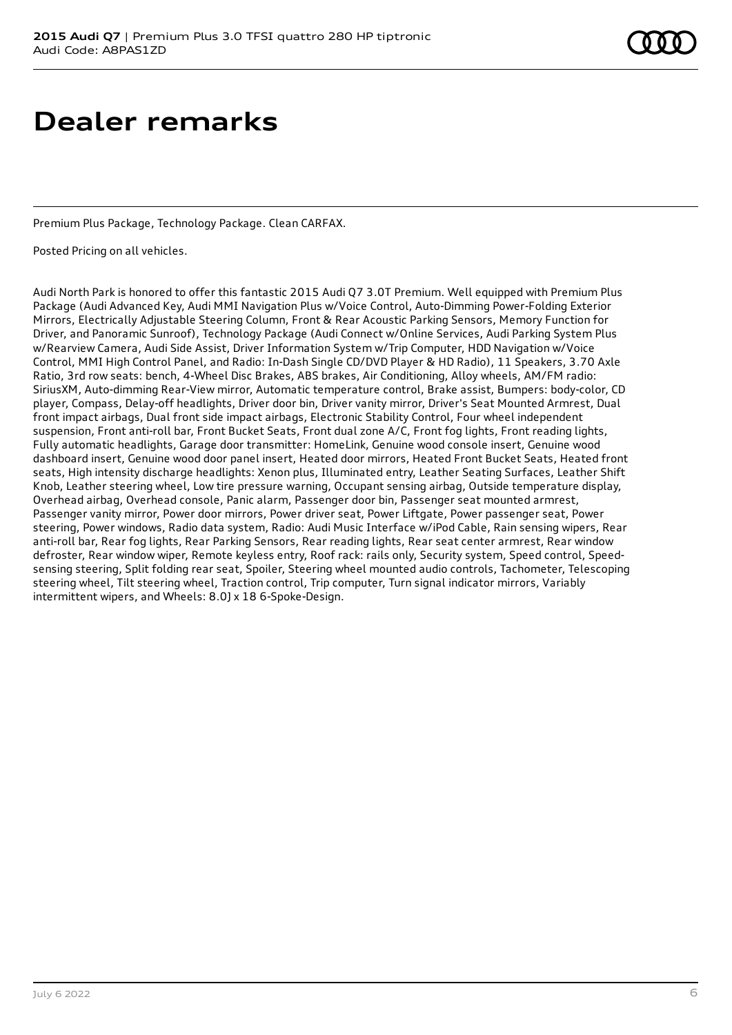## **Dealer remarks**

Premium Plus Package, Technology Package. Clean CARFAX.

Posted Pricing on all vehicles.

Audi North Park is honored to offer this fantastic 2015 Audi Q7 3.0T Premium. Well equipped with Premium Plus Package (Audi Advanced Key, Audi MMI Navigation Plus w/Voice Control, Auto-Dimming Power-Folding Exterior Mirrors, Electrically Adjustable Steering Column, Front & Rear Acoustic Parking Sensors, Memory Function for Driver, and Panoramic Sunroof), Technology Package (Audi Connect w/Online Services, Audi Parking System Plus w/Rearview Camera, Audi Side Assist, Driver Information System w/Trip Computer, HDD Navigation w/Voice Control, MMI High Control Panel, and Radio: In-Dash Single CD/DVD Player & HD Radio), 11 Speakers, 3.70 Axle Ratio, 3rd row seats: bench, 4-Wheel Disc Brakes, ABS brakes, Air Conditioning, Alloy wheels, AM/FM radio: SiriusXM, Auto-dimming Rear-View mirror, Automatic temperature control, Brake assist, Bumpers: body-color, CD player, Compass, Delay-off headlights, Driver door bin, Driver vanity mirror, Driver's Seat Mounted Armrest, Dual front impact airbags, Dual front side impact airbags, Electronic Stability Control, Four wheel independent suspension, Front anti-roll bar, Front Bucket Seats, Front dual zone A/C, Front fog lights, Front reading lights, Fully automatic headlights, Garage door transmitter: HomeLink, Genuine wood console insert, Genuine wood dashboard insert, Genuine wood door panel insert, Heated door mirrors, Heated Front Bucket Seats, Heated front seats, High intensity discharge headlights: Xenon plus, Illuminated entry, Leather Seating Surfaces, Leather Shift Knob, Leather steering wheel, Low tire pressure warning, Occupant sensing airbag, Outside temperature display, Overhead airbag, Overhead console, Panic alarm, Passenger door bin, Passenger seat mounted armrest, Passenger vanity mirror, Power door mirrors, Power driver seat, Power Liftgate, Power passenger seat, Power steering, Power windows, Radio data system, Radio: Audi Music Interface w/iPod Cable, Rain sensing wipers, Rear anti-roll bar, Rear fog lights, Rear Parking Sensors, Rear reading lights, Rear seat center armrest, Rear window defroster, Rear window wiper, Remote keyless entry, Roof rack: rails only, Security system, Speed control, Speedsensing steering, Split folding rear seat, Spoiler, Steering wheel mounted audio controls, Tachometer, Telescoping steering wheel, Tilt steering wheel, Traction control, Trip computer, Turn signal indicator mirrors, Variably intermittent wipers, and Wheels: 8.0J x 18 6-Spoke-Design.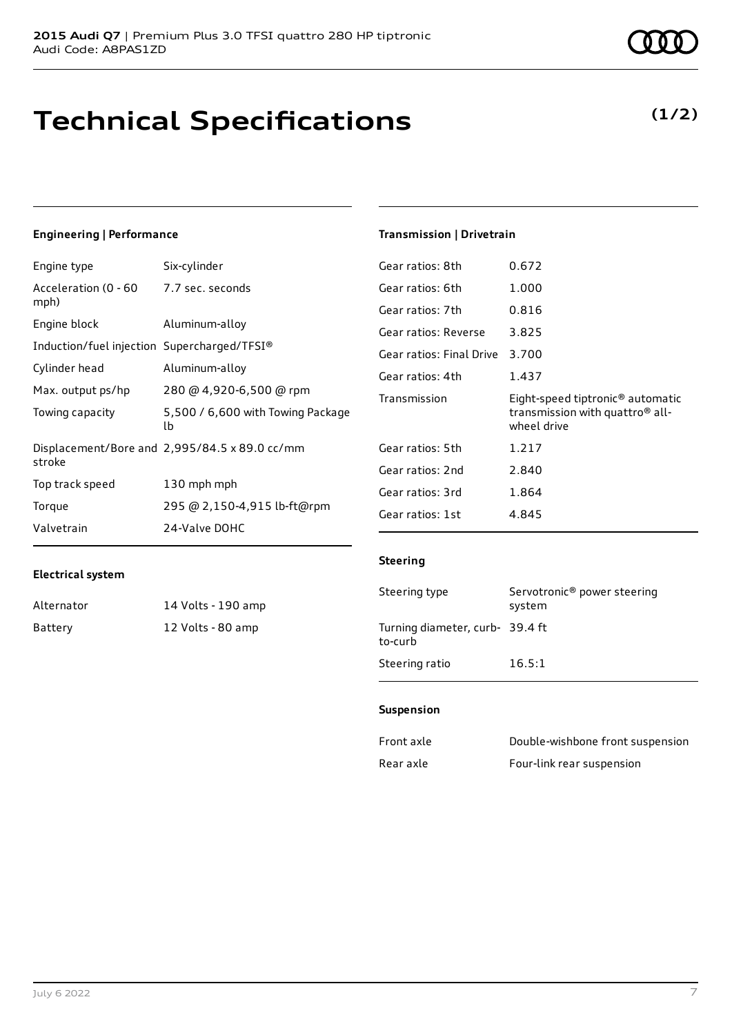## **Technical Specifications**

July 6 2022 7

## **Engineering | Performance**

Engine type Six-cylinder

| Acceleration (0 - 60 - 7.7 sec. seconds<br>mph) |                                               |
|-------------------------------------------------|-----------------------------------------------|
| Engine block                                    | Aluminum-alloy                                |
| Induction/fuel injection Supercharged/TFSI®     |                                               |
| Cylinder head                                   | Aluminum-alloy                                |
| Max. output ps/hp                               | 280 @ 4,920-6,500 @ rpm                       |
| Towing capacity                                 | 5,500 / 6,600 with Towing Package<br>lb       |
| stroke                                          | Displacement/Bore and 2,995/84.5 x 89.0 cc/mm |
| Top track speed                                 | 130 mph mph                                   |
| Torque                                          | 295 @ 2,150-4,915 lb-ft@rpm                   |
| Valvetrain                                      | 24-Valve DOHC                                 |

## **Transmission | Drivetrain**

| Gear ratios: 8th         | 0.672                                                                                                      |
|--------------------------|------------------------------------------------------------------------------------------------------------|
| Gear ratios: 6th         | 1.000                                                                                                      |
| Gear ratios: 7th         | 0.816                                                                                                      |
| Gear ratios: Reverse     | 3.825                                                                                                      |
| Gear ratios: Final Drive | 3.700                                                                                                      |
| Gear ratios: 4th         | 1.437                                                                                                      |
|                          |                                                                                                            |
| Transmission             | Eight-speed tiptronic <sup>®</sup> automatic<br>transmission with quattro <sup>®</sup> all-<br>wheel drive |
| Gear ratios: 5th         | 1.217                                                                                                      |
| Gear ratios: 2nd         | 2.840                                                                                                      |
| Gear ratios: 3rd         | 1.864                                                                                                      |
| Gear ratios: 1st         | 4.845                                                                                                      |

### **Electrical system**

| Alternator | 14 Volts - 190 amp |
|------------|--------------------|
| Battery    | 12 Volts - 80 amp  |

## **Steering**

| Steering type                             | Servotronic <sup>®</sup> power steering<br>system |
|-------------------------------------------|---------------------------------------------------|
| Turning diameter, curb-39.4 ft<br>to-curb |                                                   |
| Steering ratio                            | 16.5:1                                            |

### **Suspension**

| Front axle | Double-wishbone front suspension |
|------------|----------------------------------|
| Rear axle  | Four-link rear suspension        |

**(1/2)**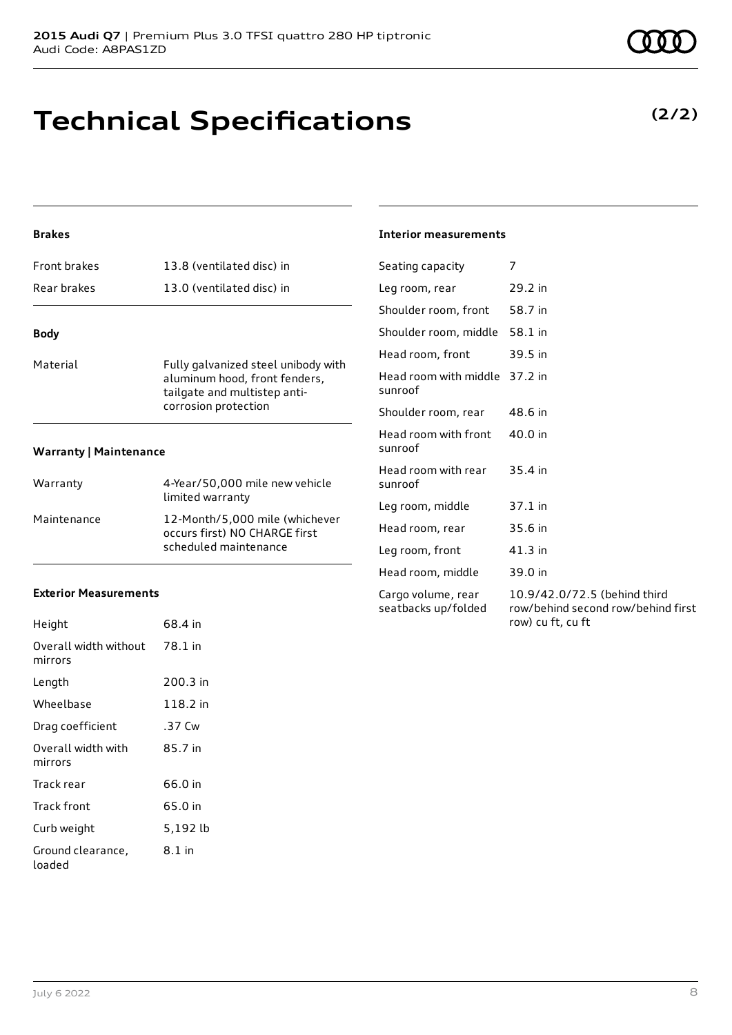## **Technical Specifications**

## **Brakes**

| <b>Front brakes</b>           | 13.8 (ventilated disc) in                                                                                                    |
|-------------------------------|------------------------------------------------------------------------------------------------------------------------------|
| Rear brakes                   | 13.0 (ventilated disc) in                                                                                                    |
| <b>Body</b>                   |                                                                                                                              |
| Material                      | Fully galvanized steel unibody with<br>aluminum hood, front fenders,<br>tailgate and multistep anti-<br>corrosion protection |
| <b>Warranty   Maintenance</b> |                                                                                                                              |

| Warranty    | 4-Year/50,000 mile new vehicle<br>limited warranty                                       |
|-------------|------------------------------------------------------------------------------------------|
| Maintenance | 12-Month/5,000 mile (whichever<br>occurs first) NO CHARGE first<br>scheduled maintenance |

## **Exterior Measurements**

| Height                           | 68.4 in  |
|----------------------------------|----------|
| Overall width without<br>mirrors | 78.1 in  |
| Length                           | 200.3 in |
| Wheelbase                        | 118.2 in |
| Drag coefficient                 | .37 Cw   |
| Overall width with<br>mirrors    | 85.7 in  |
| Track rear                       | 66.0 in  |
| Track front                      | 65.0 in  |
| Curb weight                      | 5,192 lb |
| Ground clearance,<br>loaded      | 8.1 in   |

## **Interior measurements**

| Seating capacity                          | 7                                                                                       |
|-------------------------------------------|-----------------------------------------------------------------------------------------|
| Leg room, rear                            | 29.2 in                                                                                 |
| Shoulder room, front                      | 58.7 in                                                                                 |
| Shoulder room, middle                     | 58.1 in                                                                                 |
| Head room, front                          | 39.5 in                                                                                 |
| Head room with middle<br>sunroof          | 37.2 in                                                                                 |
| Shoulder room, rear                       | 48.6 in                                                                                 |
| Head room with front<br>sunroof           | 40.0 in                                                                                 |
| Head room with rear<br>sunroof            | 35.4 in                                                                                 |
| Leg room, middle                          | $37.1$ in                                                                               |
| Head room, rear                           | 35.6 in                                                                                 |
| Leg room, front                           | $41.3$ in                                                                               |
| Head room, middle                         | 39.0 in                                                                                 |
| Cargo volume, rear<br>seatbacks up/folded | 10.9/42.0/72.5 (behind third<br>row/behind second row/behind first<br>row) cu ft, cu ft |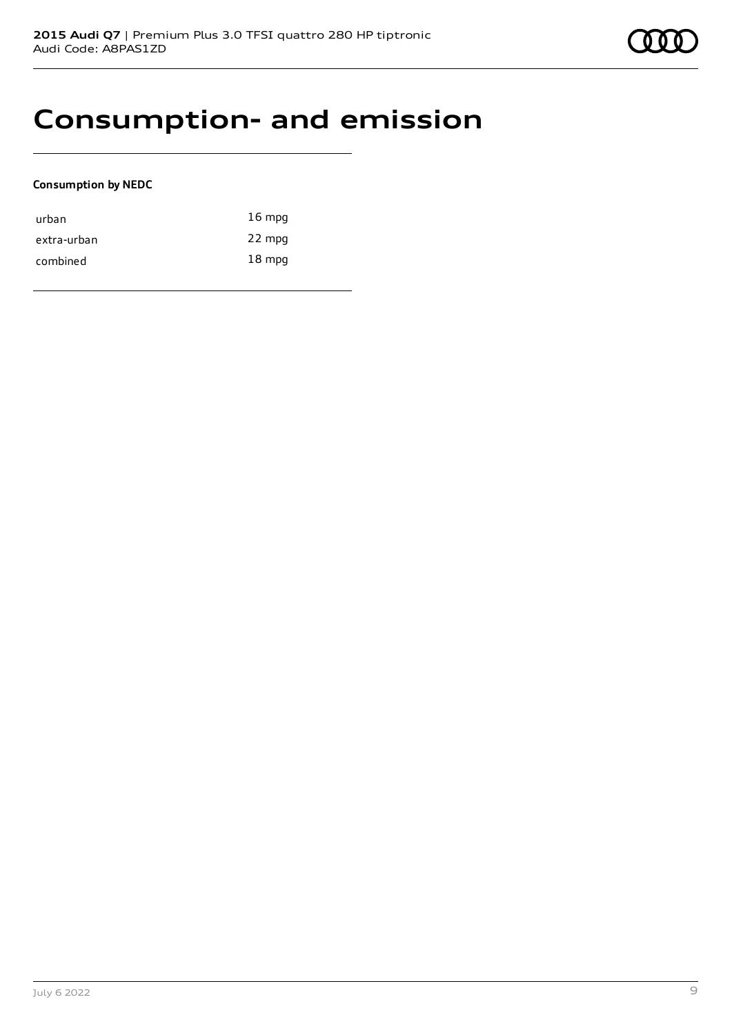

## **Consumption- and emission**

## **Consumption by NEDC**

| urban       | $16 \text{ mpg}$ |
|-------------|------------------|
| extra-urban | 22 mpg           |
| combined    | $18 \text{ mpg}$ |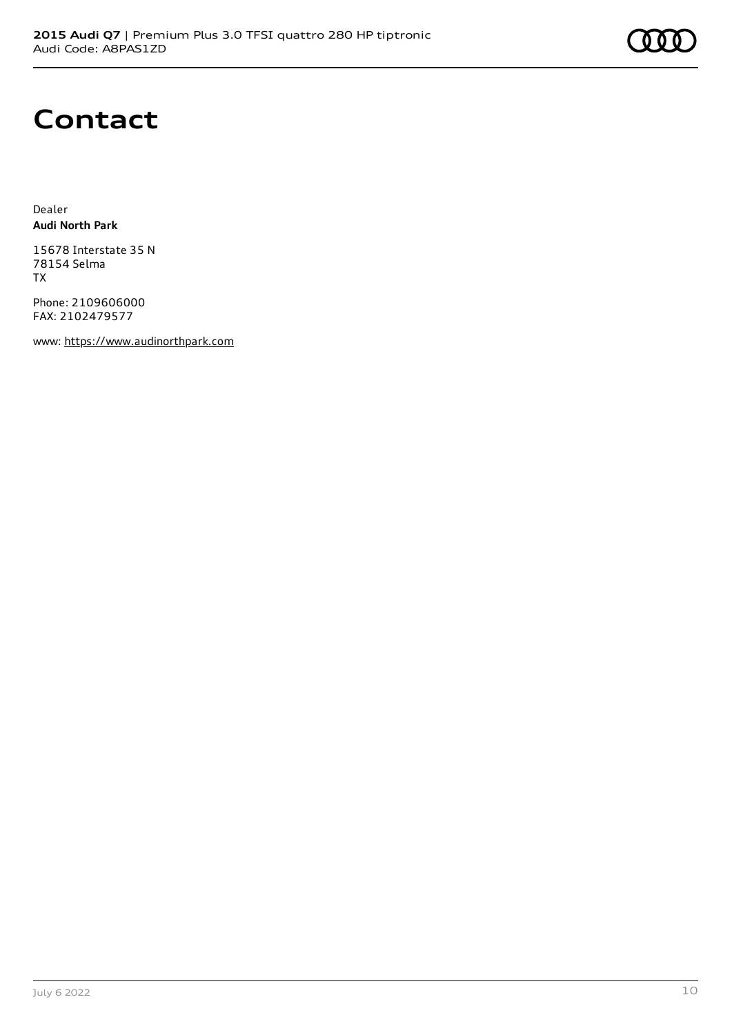## **Contact**

Dealer **Audi North Park**

15678 Interstate 35 N 78154 Selma TX

Phone: 2109606000 FAX: 2102479577

www: [https://www.audinorthpark.com](https://www.audinorthpark.com/)